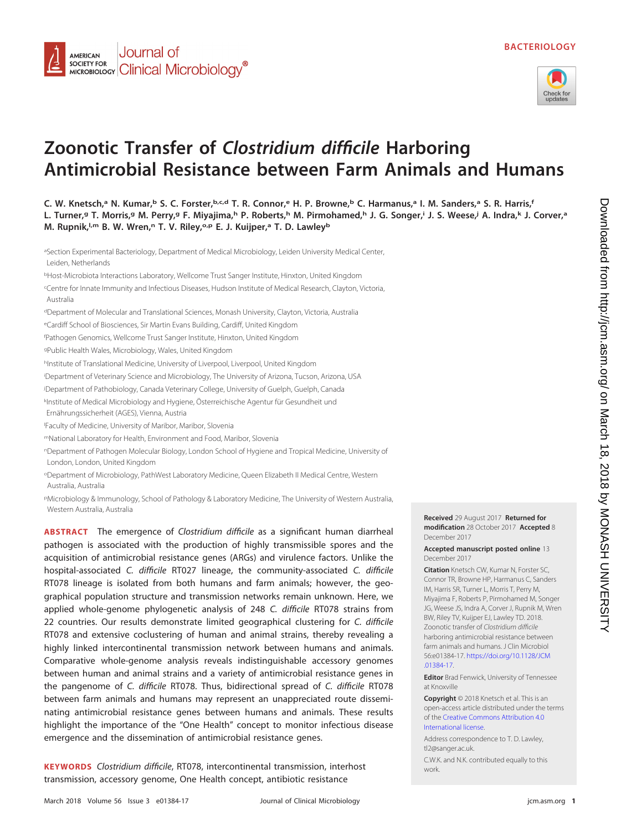



# **Zoonotic Transfer of Clostridium difficile Harboring Antimicrobial Resistance between Farm Animals and Humans**

aSection Experimental Bacteriology, Department of Medical Microbiology, Leiden University Medical Center, Leiden, Netherlands

<sup>b</sup>Host-Microbiota Interactions Laboratory, Wellcome Trust Sanger Institute, Hinxton, United Kingdom

c Centre for Innate Immunity and Infectious Diseases, Hudson Institute of Medical Research, Clayton, Victoria, Australia

<sup>d</sup>Department of Molecular and Translational Sciences, Monash University, Clayton, Victoria, Australia

<sup>e</sup>Cardiff School of Biosciences, Sir Martin Evans Building, Cardiff, United Kingdom

f Pathogen Genomics, Wellcome Trust Sanger Institute, Hinxton, United Kingdom

<sup>g</sup>Public Health Wales, Microbiology, Wales, United Kingdom

hInstitute of Translational Medicine, University of Liverpool, Liverpool, United Kingdom

i Department of Veterinary Science and Microbiology, The University of Arizona, Tucson, Arizona, USA

j Department of Pathobiology, Canada Veterinary College, University of Guelph, Guelph, Canada

k Institute of Medical Microbiology and Hygiene, Österreichische Agentur für Gesundheit und Ernährungssicherheit (AGES), Vienna, Austria

l Faculty of Medicine, University of Maribor, Maribor, Slovenia

<sup>m</sup>National Laboratory for Health, Environment and Food, Maribor, Slovenia

<sup>n</sup>Department of Pathogen Molecular Biology, London School of Hygiene and Tropical Medicine, University of London, London, United Kingdom

<sup>o</sup>Department of Microbiology, PathWest Laboratory Medicine, Queen Elizabeth II Medical Centre, Western Australia, Australia

<sup>p</sup>Microbiology & Immunology, School of Pathology & Laboratory Medicine, The University of Western Australia, Western Australia, Australia

**ABSTRACT** The emergence of Clostridium difficile as a significant human diarrheal pathogen is associated with the production of highly transmissible spores and the acquisition of antimicrobial resistance genes (ARGs) and virulence factors. Unlike the hospital-associated C. difficile RT027 lineage, the community-associated C. difficile RT078 lineage is isolated from both humans and farm animals; however, the geographical population structure and transmission networks remain unknown. Here, we applied whole-genome phylogenetic analysis of 248 C. difficile RT078 strains from 22 countries. Our results demonstrate limited geographical clustering for C. difficile RT078 and extensive coclustering of human and animal strains, thereby revealing a highly linked intercontinental transmission network between humans and animals. Comparative whole-genome analysis reveals indistinguishable accessory genomes between human and animal strains and a variety of antimicrobial resistance genes in the pangenome of C. difficile RT078. Thus, bidirectional spread of C. difficile RT078 between farm animals and humans may represent an unappreciated route disseminating antimicrobial resistance genes between humans and animals. These results highlight the importance of the "One Health" concept to monitor infectious disease emergence and the dissemination of antimicrobial resistance genes.

**KEYWORDS** Clostridium difficile, RT078, intercontinental transmission, interhost transmission, accessory genome, One Health concept, antibiotic resistance

**modification** 28 October 2017 **Accepted** 8 December 2017 **Accepted manuscript posted online** 13

**Received** 29 August 2017 **Returned for**

December 2017

**Citation** Knetsch CW, Kumar N, Forster SC, Connor TR, Browne HP, Harmanus C, Sanders IM, Harris SR, Turner L, Morris T, Perry M, Miyajima F, Roberts P, Pirmohamed M, Songer JG, Weese JS, Indra A, Corver J, Rupnik M, Wren BW, Riley TV, Kuijper EJ, Lawley TD. 2018. Zoonotic transfer of Clostridium difficile harboring antimicrobial resistance between farm animals and humans. J Clin Microbiol 56:e01384-17. [https://doi.org/10.1128/JCM](https://doi.org/10.1128/JCM.01384-17) [.01384-17.](https://doi.org/10.1128/JCM.01384-17)

**Editor** Brad Fenwick, University of Tennessee at Knoxville

**Copyright** © 2018 Knetsch et al. This is an open-access article distributed under the terms of the [Creative Commons Attribution 4.0](https://creativecommons.org/licenses/by/4.0/) [International](https://creativecommons.org/licenses/by/4.0/) license.

Address correspondence to T. D. Lawley, [tl2@sanger.ac.uk.](mailto:tl2@sanger.ac.uk)

C.W.K. and N.K. contributed equally to this work.

**C. W. Knetsch,a N. Kumar,b S. C. Forster,b,c,d T. R. Connor,e H. P. Browne,b C. Harmanus,a I. M. Sanders,a S. R. Harris,f L. Turner,g T. Morris,g M. Perry,g F. Miyajima,h P. Roberts,h M. Pirmohamed,h J. G. Songer,i J. S. Weese,j A. Indra,k J. Corver,a M. Rupnik,l,m B. W. Wren,n T. V. Riley,o,p E. J. Kuijper,a T. D. Lawleyb**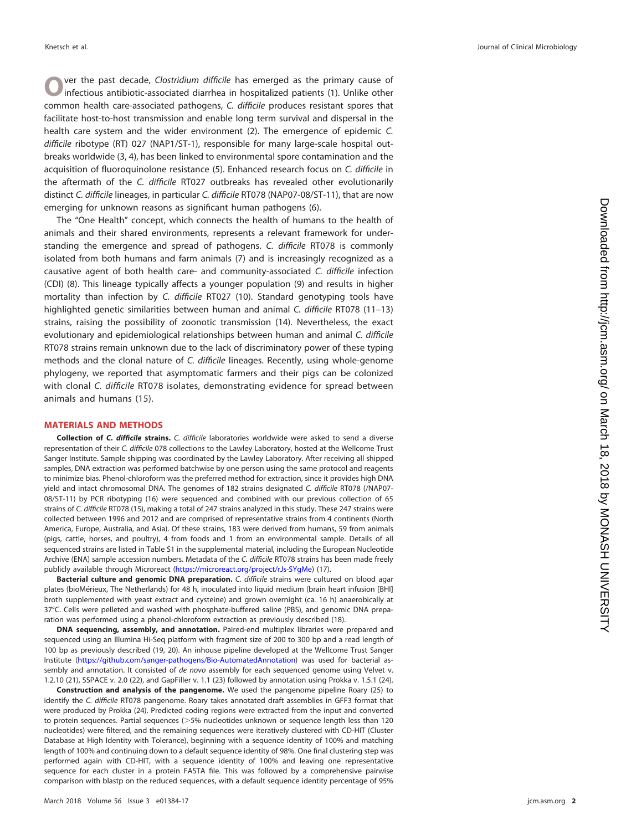**O** ver the past decade, *Clostridium difficile* has emerged as the primary cause of infectious antibiotic-associated diarrhea in hospitalized patients [\(1\)](#page-6-0). Unlike other common health care-associated pathogens, C. difficile produces resistant spores that facilitate host-to-host transmission and enable long term survival and dispersal in the health care system and the wider environment [\(2\)](#page-6-1). The emergence of epidemic C. difficile ribotype (RT) 027 (NAP1/ST-1), responsible for many large-scale hospital outbreaks worldwide [\(3,](#page-6-2) [4\)](#page-6-3), has been linked to environmental spore contamination and the acquisition of fluoroquinolone resistance [\(5\)](#page-6-4). Enhanced research focus on C. difficile in the aftermath of the C. difficile RT027 outbreaks has revealed other evolutionarily distinct C. difficile lineages, in particular C. difficile RT078 (NAP07-08/ST-11), that are now emerging for unknown reasons as significant human pathogens [\(6\)](#page-6-5).

The "One Health" concept, which connects the health of humans to the health of animals and their shared environments, represents a relevant framework for understanding the emergence and spread of pathogens. C. difficile RT078 is commonly isolated from both humans and farm animals [\(7\)](#page-6-6) and is increasingly recognized as a causative agent of both health care- and community-associated C. difficile infection (CDI) [\(8\)](#page-6-7). This lineage typically affects a younger population [\(9\)](#page-6-8) and results in higher mortality than infection by C. difficile RT027 [\(10\)](#page-6-9). Standard genotyping tools have highlighted genetic similarities between human and animal C. difficile RT078 [\(11](#page-6-10)[–](#page-6-11)[13\)](#page-6-12) strains, raising the possibility of zoonotic transmission [\(14\)](#page-6-13). Nevertheless, the exact evolutionary and epidemiological relationships between human and animal C. difficile RT078 strains remain unknown due to the lack of discriminatory power of these typing methods and the clonal nature of C. difficile lineages. Recently, using whole-genome phylogeny, we reported that asymptomatic farmers and their pigs can be colonized with clonal C. difficile RT078 isolates, demonstrating evidence for spread between animals and humans [\(15\)](#page-6-14).

#### **MATERIALS AND METHODS**

**Collection of** *C. difficile* **strains.** C. difficile laboratories worldwide were asked to send a diverse representation of their C. difficile 078 collections to the Lawley Laboratory, hosted at the Wellcome Trust Sanger Institute. Sample shipping was coordinated by the Lawley Laboratory. After receiving all shipped samples, DNA extraction was performed batchwise by one person using the same protocol and reagents to minimize bias. Phenol-chloroform was the preferred method for extraction, since it provides high DNA yield and intact chromosomal DNA. The genomes of 182 strains designated C. difficile RT078 (/NAP07- 08/ST-11) by PCR ribotyping [\(16\)](#page-6-15) were sequenced and combined with our previous collection of 65 strains of C. difficile RT078 [\(15\)](#page-6-14), making a total of 247 strains analyzed in this study. These 247 strains were collected between 1996 and 2012 and are comprised of representative strains from 4 continents (North America, Europe, Australia, and Asia). Of these strains, 183 were derived from humans, 59 from animals (pigs, cattle, horses, and poultry), 4 from foods and 1 from an environmental sample. Details of all sequenced strains are listed in Table S1 in the supplemental material, including the European Nucleotide Archive (ENA) sample accession numbers. Metadata of the C. difficile RT078 strains has been made freely publicly available through Microreact [\(https://microreact.org/project/rJs-SYgMe\)](https://microreact.org/project/rJs-SYgMe) [\(17\)](#page-6-16).

**Bacterial culture and genomic DNA preparation.** C. difficile strains were cultured on blood agar plates (bioMérieux, The Netherlands) for 48 h, inoculated into liquid medium (brain heart infusion [BHI] broth supplemented with yeast extract and cysteine) and grown overnight (ca. 16 h) anaerobically at 37°C. Cells were pelleted and washed with phosphate-buffered saline (PBS), and genomic DNA preparation was performed using a phenol-chloroform extraction as previously described [\(18\)](#page-6-17).

**DNA sequencing, assembly, and annotation.** Paired-end multiplex libraries were prepared and sequenced using an Illumina Hi-Seq platform with fragment size of 200 to 300 bp and a read length of 100 bp as previously described [\(19,](#page-6-18) [20\)](#page-6-19). An inhouse pipeline developed at the Wellcome Trust Sanger Institute [\(https://github.com/sanger-pathogens/Bio-AutomatedAnnotation\)](https://github.com/sanger-pathogens/Bio-AutomatedAnnotation) was used for bacterial assembly and annotation. It consisted of de novo assembly for each sequenced genome using Velvet v. 1.2.10 [\(21\)](#page-6-20), SSPACE v. 2.0 [\(22\)](#page-6-21), and GapFiller v. 1.1 [\(23\)](#page-7-0) followed by annotation using Prokka v. 1.5.1 [\(24\)](#page-7-1).

**Construction and analysis of the pangenome.** We used the pangenome pipeline Roary [\(25\)](#page-7-2) to identify the C. difficile RT078 pangenome. Roary takes annotated draft assemblies in GFF3 format that were produced by Prokka [\(24\)](#page-7-1). Predicted coding regions were extracted from the input and converted to protein sequences. Partial sequences ( $>$ 5% nucleotides unknown or sequence length less than 120  $\,$ nucleotides) were filtered, and the remaining sequences were iteratively clustered with CD-HIT (Cluster Database at High Identity with Tolerance), beginning with a sequence identity of 100% and matching length of 100% and continuing down to a default sequence identity of 98%. One final clustering step was performed again with CD-HIT, with a sequence identity of 100% and leaving one representative sequence for each cluster in a protein FASTA file. This was followed by a comprehensive pairwise comparison with blastp on the reduced sequences, with a default sequence identity percentage of 95%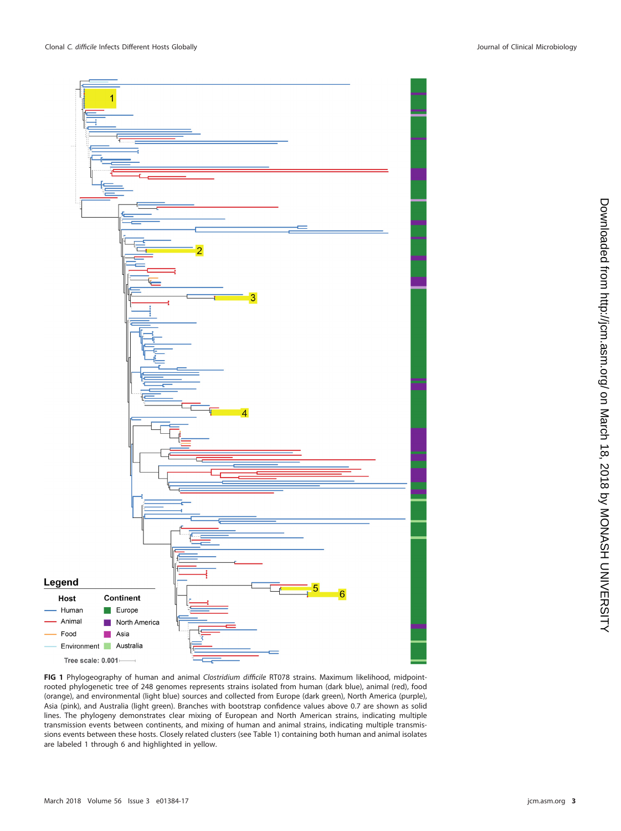

<span id="page-2-0"></span>**FIG 1** Phylogeography of human and animal Clostridium difficile RT078 strains. Maximum likelihood, midpointrooted phylogenetic tree of 248 genomes represents strains isolated from human (dark blue), animal (red), food (orange), and environmental (light blue) sources and collected from Europe (dark green), North America (purple), Asia (pink), and Australia (light green). Branches with bootstrap confidence values above 0.7 are shown as solid lines. The phylogeny demonstrates clear mixing of European and North American strains, indicating multiple transmission events between continents, and mixing of human and animal strains, indicating multiple transmissions events between these hosts. Closely related clusters (see [Table 1\)](#page-3-0) containing both human and animal isolates are labeled 1 through 6 and highlighted in yellow.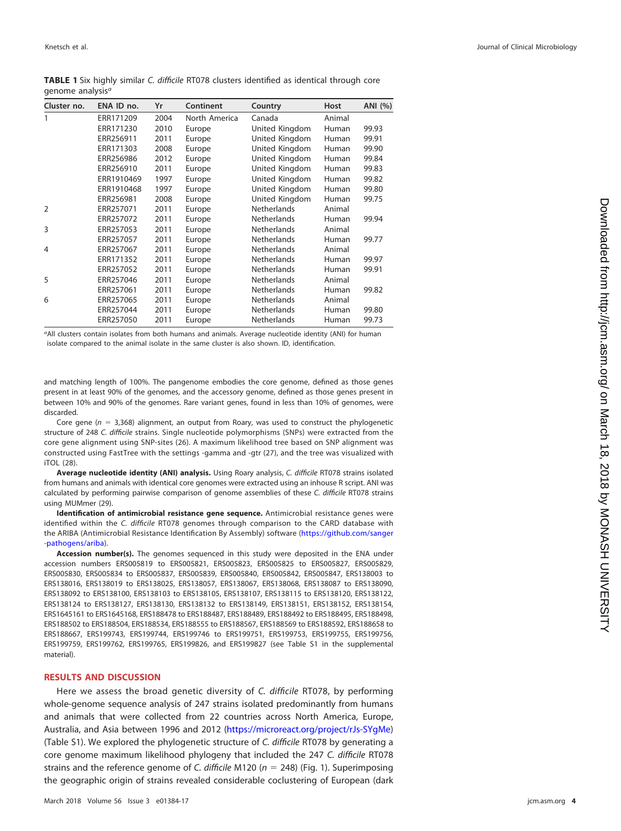| Cluster no.    | ENA ID no. | Yr   | Continent     | Country            | Host   | ANI (%) |
|----------------|------------|------|---------------|--------------------|--------|---------|
| 1              | ERR171209  | 2004 | North America | Canada             | Animal |         |
|                | ERR171230  | 2010 | Europe        | United Kingdom     | Human  | 99.93   |
|                | ERR256911  | 2011 | Europe        | United Kingdom     | Human  | 99.91   |
|                | ERR171303  | 2008 | Europe        | United Kingdom     | Human  | 99.90   |
|                | ERR256986  | 2012 | Europe        | United Kingdom     | Human  | 99.84   |
|                | ERR256910  | 2011 | Europe        | United Kingdom     | Human  | 99.83   |
|                | ERR1910469 | 1997 | Europe        | United Kingdom     | Human  | 99.82   |
|                | ERR1910468 | 1997 | Europe        | United Kingdom     | Human  | 99.80   |
|                | ERR256981  | 2008 | Europe        | United Kingdom     | Human  | 99.75   |
| $\overline{2}$ | ERR257071  | 2011 | Europe        | <b>Netherlands</b> | Animal |         |
|                | ERR257072  | 2011 | Europe        | <b>Netherlands</b> | Human  | 99.94   |
| 3              | ERR257053  | 2011 | Europe        | <b>Netherlands</b> | Animal |         |
|                | ERR257057  | 2011 | Europe        | <b>Netherlands</b> | Human  | 99.77   |
| 4              | ERR257067  | 2011 | Europe        | <b>Netherlands</b> | Animal |         |
|                | ERR171352  | 2011 | Europe        | <b>Netherlands</b> | Human  | 99.97   |
|                | ERR257052  | 2011 | Europe        | <b>Netherlands</b> | Human  | 99.91   |
| 5              | ERR257046  | 2011 | Europe        | <b>Netherlands</b> | Animal |         |
|                | ERR257061  | 2011 | Europe        | <b>Netherlands</b> | Human  | 99.82   |
| 6              | ERR257065  | 2011 | Europe        | <b>Netherlands</b> | Animal |         |
|                | ERR257044  | 2011 | Europe        | <b>Netherlands</b> | Human  | 99.80   |
|                | ERR257050  | 2011 | Europe        | <b>Netherlands</b> | Human  | 99.73   |

<span id="page-3-0"></span>

| <b>TABLE 1</b> Six highly similar C. difficile RT078 clusters identified as identical through core |  |  |  |  |  |
|----------------------------------------------------------------------------------------------------|--|--|--|--|--|
| genome analysis <sup>a</sup>                                                                       |  |  |  |  |  |

aAll clusters contain isolates from both humans and animals. Average nucleotide identity (ANI) for human isolate compared to the animal isolate in the same cluster is also shown. ID, identification.

and matching length of 100%. The pangenome embodies the core genome, defined as those genes present in at least 90% of the genomes, and the accessory genome, defined as those genes present in between 10% and 90% of the genomes. Rare variant genes, found in less than 10% of genomes, were discarded.

Core gene ( $n = 3,368$ ) alignment, an output from Roary, was used to construct the phylogenetic structure of 248 C. difficile strains. Single nucleotide polymorphisms (SNPs) were extracted from the core gene alignment using SNP-sites [\(26\)](#page-7-3). A maximum likelihood tree based on SNP alignment was constructed using FastTree with the settings -gamma and -gtr [\(27\)](#page-7-4), and the tree was visualized with iTOL [\(28\)](#page-7-5).

**Average nucleotide identity (ANI) analysis.** Using Roary analysis, C. difficile RT078 strains isolated from humans and animals with identical core genomes were extracted using an inhouse R script. ANI was calculated by performing pairwise comparison of genome assemblies of these C. difficile RT078 strains using MUMmer [\(29\)](#page-7-6).

**Identification of antimicrobial resistance gene sequence.** Antimicrobial resistance genes were identified within the C. difficile RT078 genomes through comparison to the CARD database with the ARIBA (Antimicrobial Resistance Identification By Assembly) software [\(https://github.com/sanger](https://github.com/sanger-pathogens/ariba) [-pathogens/ariba\)](https://github.com/sanger-pathogens/ariba).

**Accession number(s).** The genomes sequenced in this study were deposited in the ENA under accession numbers ERS005819 to ERS005821, ERS005823, ERS005825 to ERS005827, ERS005829, ERS005830, ERS005834 to ERS005837, ERS005839, ERS005840, ERS005842, ERS005847, ERS138003 to ERS138016, ERS138019 to ERS138025, ERS138057, ERS138067, ERS138068, ERS138087 to ERS138090, ERS138092 to ERS138100, ERS138103 to ERS138105, ERS138107, ERS138115 to ERS138120, ERS138122, ERS138124 to ERS138127, ERS138130, ERS138132 to ERS138149, ERS138151, ERS138152, ERS138154, ERS1645161 to ERS1645168, ERS188478 to ERS188487, ERS188489, ERS188492 to ERS188495, ERS188498, ERS188502 to ERS188504, ERS188534, ERS188555 to ERS188567, ERS188569 to ERS188592, ERS188658 to ERS188667, ERS199743, ERS199744, ERS199746 to ERS199751, ERS199753, ERS199755, ERS199756, ERS199759, ERS199762, ERS199765, ERS199826, and ERS199827 (see Table S1 in the supplemental material).

## **RESULTS AND DISCUSSION**

Here we assess the broad genetic diversity of C. difficile RT078, by performing whole-genome sequence analysis of 247 strains isolated predominantly from humans and animals that were collected from 22 countries across North America, Europe, Australia, and Asia between 1996 and 2012 [\(https://microreact.org/project/rJs-SYgMe\)](https://microreact.org/project/rJs-SYgMe) (Table S1). We explored the phylogenetic structure of C. difficile RT078 by generating a core genome maximum likelihood phylogeny that included the 247 C. difficile RT078 strains and the reference genome of C. difficile M120 ( $n = 248$ ) [\(Fig. 1\)](#page-2-0). Superimposing the geographic origin of strains revealed considerable coclustering of European (dark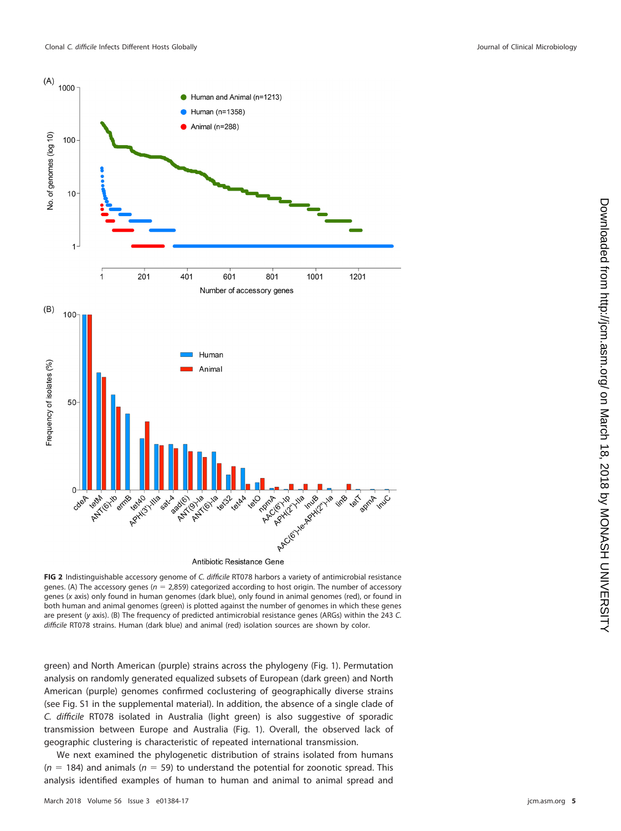

Antibiotic Resistance Gene

<span id="page-4-0"></span>**FIG 2** Indistinguishable accessory genome of C. difficile RT078 harbors a variety of antimicrobial resistance genes. (A) The accessory genes ( $n = 2,859$ ) categorized according to host origin. The number of accessory genes (x axis) only found in human genomes (dark blue), only found in animal genomes (red), or found in both human and animal genomes (green) is plotted against the number of genomes in which these genes are present (y axis). (B) The frequency of predicted antimicrobial resistance genes (ARGs) within the 243 C. difficile RT078 strains. Human (dark blue) and animal (red) isolation sources are shown by color.

green) and North American (purple) strains across the phylogeny [\(Fig. 1\)](#page-2-0). Permutation analysis on randomly generated equalized subsets of European (dark green) and North American (purple) genomes confirmed coclustering of geographically diverse strains (see Fig. S1 in the supplemental material). In addition, the absence of a single clade of C. difficile RT078 isolated in Australia (light green) is also suggestive of sporadic transmission between Europe and Australia [\(Fig. 1\)](#page-2-0). Overall, the observed lack of geographic clustering is characteristic of repeated international transmission.

We next examined the phylogenetic distribution of strains isolated from humans ( $n = 184$ ) and animals ( $n = 59$ ) to understand the potential for zoonotic spread. This analysis identified examples of human to human and animal to animal spread and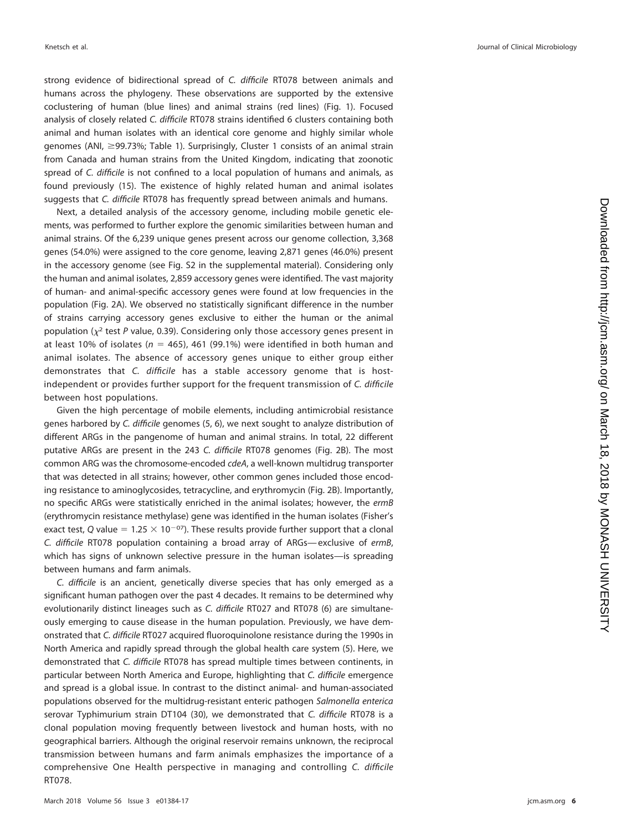strong evidence of bidirectional spread of C. difficile RT078 between animals and humans across the phylogeny. These observations are supported by the extensive coclustering of human (blue lines) and animal strains (red lines) [\(Fig. 1\)](#page-2-0). Focused analysis of closely related C. difficile RT078 strains identified 6 clusters containing both animal and human isolates with an identical core genome and highly similar whole genomes (ANI, ≥99.73%; [Table 1\)](#page-3-0). Surprisingly, Cluster 1 consists of an animal strain from Canada and human strains from the United Kingdom, indicating that zoonotic spread of C. difficile is not confined to a local population of humans and animals, as found previously [\(15\)](#page-6-14). The existence of highly related human and animal isolates suggests that C. difficile RT078 has frequently spread between animals and humans.

Next, a detailed analysis of the accessory genome, including mobile genetic elements, was performed to further explore the genomic similarities between human and animal strains. Of the 6,239 unique genes present across our genome collection, 3,368 genes (54.0%) were assigned to the core genome, leaving 2,871 genes (46.0%) present in the accessory genome (see Fig. S2 in the supplemental material). Considering only the human and animal isolates, 2,859 accessory genes were identified. The vast majority of human- and animal-specific accessory genes were found at low frequencies in the population [\(Fig. 2A\)](#page-4-0). We observed no statistically significant difference in the number of strains carrying accessory genes exclusive to either the human or the animal population ( $\chi^2$  test P value, 0.39). Considering only those accessory genes present in at least 10% of isolates ( $n = 465$ ), 461 (99.1%) were identified in both human and animal isolates. The absence of accessory genes unique to either group either demonstrates that C. difficile has a stable accessory genome that is hostindependent or provides further support for the frequent transmission of C. difficile between host populations.

Given the high percentage of mobile elements, including antimicrobial resistance genes harbored by C. difficile genomes [\(5,](#page-6-4) [6\)](#page-6-5), we next sought to analyze distribution of different ARGs in the pangenome of human and animal strains. In total, 22 different putative ARGs are present in the 243 C. difficile RT078 genomes [\(Fig. 2B\)](#page-4-0). The most common ARG was the chromosome-encoded cdeA, a well-known multidrug transporter that was detected in all strains; however, other common genes included those encoding resistance to aminoglycosides, tetracycline, and erythromycin [\(Fig. 2B\)](#page-4-0). Importantly, no specific ARGs were statistically enriched in the animal isolates; however, the ermB (erythromycin resistance methylase) gene was identified in the human isolates (Fisher's exact test, Q value =  $1.25 \times 10^{-07}$ ). These results provide further support that a clonal C. difficile RT078 population containing a broad array of ARGs— exclusive of ermB, which has signs of unknown selective pressure in the human isolates—is spreading between humans and farm animals.

C. difficile is an ancient, genetically diverse species that has only emerged as a significant human pathogen over the past 4 decades. It remains to be determined why evolutionarily distinct lineages such as C. difficile RT027 and RT078 [\(6\)](#page-6-5) are simultaneously emerging to cause disease in the human population. Previously, we have demonstrated that C. difficile RT027 acquired fluoroquinolone resistance during the 1990s in North America and rapidly spread through the global health care system [\(5\)](#page-6-4). Here, we demonstrated that C. difficile RT078 has spread multiple times between continents, in particular between North America and Europe, highlighting that C. difficile emergence and spread is a global issue. In contrast to the distinct animal- and human-associated populations observed for the multidrug-resistant enteric pathogen Salmonella enterica serovar Typhimurium strain DT104 [\(30\)](#page-7-7), we demonstrated that C. difficile RT078 is a clonal population moving frequently between livestock and human hosts, with no geographical barriers. Although the original reservoir remains unknown, the reciprocal transmission between humans and farm animals emphasizes the importance of a comprehensive One Health perspective in managing and controlling C. difficile RT078.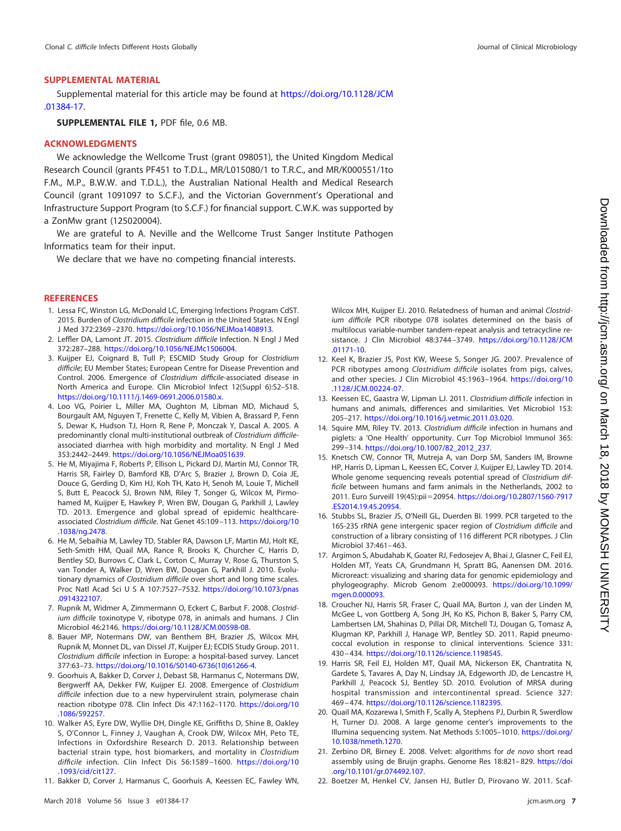## **SUPPLEMENTAL MATERIAL**

Supplemental material for this article may be found at [https://doi.org/10.1128/JCM](https://doi.org/10.1128/JCM.01384-17) [.01384-17.](https://doi.org/10.1128/JCM.01384-17)

**SUPPLEMENTAL FILE 1,** PDF file, 0.6 MB.

## **ACKNOWLEDGMENTS**

We acknowledge the Wellcome Trust (grant 098051), the United Kingdom Medical Research Council (grants PF451 to T.D.L., MR/L015080/1 to T.R.C., and MR/K000551/1to F.M., M.P., B.W.W. and T.D.L.), the Australian National Health and Medical Research Council (grant 1091097 to S.C.F.), and the Victorian Government's Operational and Infrastructure Support Program (to S.C.F.) for financial support. C.W.K. was supported by a ZonMw grant (125020004).

We are grateful to A. Neville and the Wellcome Trust Sanger Institute Pathogen Informatics team for their input.

We declare that we have no competing financial interests.

### <span id="page-6-0"></span>**REFERENCES**

- 1. Lessa FC, Winston LG, McDonald LC, Emerging Infections Program CdST. 2015. Burden of Clostridium difficile infection in the United States. N Engl J Med 372:2369 –2370. [https://doi.org/10.1056/NEJMoa1408913.](https://doi.org/10.1056/NEJMoa1408913)
- <span id="page-6-2"></span><span id="page-6-1"></span>2. Leffler DA, Lamont JT. 2015. Clostridium difficile Infection. N Engl J Med 372:287–288. [https://doi.org/10.1056/NEJMc1506004.](https://doi.org/10.1056/NEJMc1506004)
- 3. Kuijper EJ, Coignard B, Tull P; ESCMID Study Group for Clostridium difficile; EU Member States; European Centre for Disease Prevention and Control. 2006. Emergence of Clostridium difficile-associated disease in North America and Europe. Clin Microbiol Infect 12(Suppl 6):S2–S18. [https://doi.org/10.1111/j.1469-0691.2006.01580.x.](https://doi.org/10.1111/j.1469-0691.2006.01580.x)
- <span id="page-6-3"></span>4. Loo VG, Poirier L, Miller MA, Oughton M, Libman MD, Michaud S, Bourgault AM, Nguyen T, Frenette C, Kelly M, Vibien A, Brassard P, Fenn S, Dewar K, Hudson TJ, Horn R, Rene P, Monczak Y, Dascal A. 2005. A predominantly clonal multi-institutional outbreak of Clostridium difficileassociated diarrhea with high morbidity and mortality. N Engl J Med 353:2442–2449. [https://doi.org/10.1056/NEJMoa051639.](https://doi.org/10.1056/NEJMoa051639)
- <span id="page-6-4"></span>5. He M, Miyajima F, Roberts P, Ellison L, Pickard DJ, Martin MJ, Connor TR, Harris SR, Fairley D, Bamford KB, D'Arc S, Brazier J, Brown D, Coia JE, Douce G, Gerding D, Kim HJ, Koh TH, Kato H, Senoh M, Louie T, Michell S, Butt E, Peacock SJ, Brown NM, Riley T, Songer G, Wilcox M, Pirmohamed M, Kuijper E, Hawkey P, Wren BW, Dougan G, Parkhill J, Lawley TD. 2013. Emergence and global spread of epidemic healthcareassociated Clostridium difficile. Nat Genet 45:109 –113. [https://doi.org/10](https://doi.org/10.1038/ng.2478) [.1038/ng.2478.](https://doi.org/10.1038/ng.2478)
- <span id="page-6-5"></span>6. He M, Sebaihia M, Lawley TD, Stabler RA, Dawson LF, Martin MJ, Holt KE, Seth-Smith HM, Quail MA, Rance R, Brooks K, Churcher C, Harris D, Bentley SD, Burrows C, Clark L, Corton C, Murray V, Rose G, Thurston S, van Tonder A, Walker D, Wren BW, Dougan G, Parkhill J. 2010. Evolutionary dynamics of Clostridium difficile over short and long time scales. Proc Natl Acad Sci U S A 107:7527-7532. [https://doi.org/10.1073/pnas](https://doi.org/10.1073/pnas.0914322107) [.0914322107.](https://doi.org/10.1073/pnas.0914322107)
- <span id="page-6-7"></span><span id="page-6-6"></span>7. Rupnik M, Widmer A, Zimmermann O, Eckert C, Barbut F. 2008. Clostridium difficile toxinotype V, ribotype 078, in animals and humans. J Clin Microbiol 46:2146. [https://doi.org/10.1128/JCM.00598-08.](https://doi.org/10.1128/JCM.00598-08)
- 8. Bauer MP, Notermans DW, van Benthem BH, Brazier JS, Wilcox MH, Rupnik M, Monnet DL, van Dissel JT, Kuijper EJ; ECDIS Study Group. 2011. Clostridium difficile infection in Europe: a hospital-based survey. Lancet 377:63–73. [https://doi.org/10.1016/S0140-6736\(10\)61266-4.](https://doi.org/10.1016/S0140-6736(10)61266-4)
- <span id="page-6-8"></span>9. Goorhuis A, Bakker D, Corver J, Debast SB, Harmanus C, Notermans DW, Bergwerff AA, Dekker FW, Kuijper EJ. 2008. Emergence of Clostridium difficile infection due to a new hypervirulent strain, polymerase chain reaction ribotype 078. Clin Infect Dis 47:1162–1170. [https://doi.org/10](https://doi.org/10.1086/592257) [.1086/592257.](https://doi.org/10.1086/592257)
- <span id="page-6-9"></span>10. Walker AS, Eyre DW, Wyllie DH, Dingle KE, Griffiths D, Shine B, Oakley S, O'Connor L, Finney J, Vaughan A, Crook DW, Wilcox MH, Peto TE, Infections in Oxfordshire Research D. 2013. Relationship between bacterial strain type, host biomarkers, and mortality in Clostridium difficile infection. Clin Infect Dis 56:1589 –1600. [https://doi.org/10](https://doi.org/10.1093/cid/cit127) [.1093/cid/cit127.](https://doi.org/10.1093/cid/cit127)
- <span id="page-6-10"></span>11. Bakker D, Corver J, Harmanus C, Goorhuis A, Keessen EC, Fawley WN,

Wilcox MH, Kuijper EJ. 2010. Relatedness of human and animal Clostridium difficile PCR ribotype 078 isolates determined on the basis of multilocus variable-number tandem-repeat analysis and tetracycline resistance. J Clin Microbiol 48:3744 –3749. [https://doi.org/10.1128/JCM](https://doi.org/10.1128/JCM.01171-10) [.01171-10.](https://doi.org/10.1128/JCM.01171-10)

- <span id="page-6-11"></span>12. Keel K, Brazier JS, Post KW, Weese S, Songer JG. 2007. Prevalence of PCR ribotypes among Clostridium difficile isolates from pigs, calves, and other species. J Clin Microbiol 45:1963–1964. [https://doi.org/10](https://doi.org/10.1128/JCM.00224-07) [.1128/JCM.00224-07.](https://doi.org/10.1128/JCM.00224-07)
- <span id="page-6-12"></span>13. Keessen EC, Gaastra W, Lipman LJ. 2011. Clostridium difficile infection in humans and animals, differences and similarities. Vet Microbiol 153: 205–217. [https://doi.org/10.1016/j.vetmic.2011.03.020.](https://doi.org/10.1016/j.vetmic.2011.03.020)
- <span id="page-6-13"></span>14. Squire MM, Riley TV. 2013. Clostridium difficile infection in humans and piglets: a 'One Health' opportunity. Curr Top Microbiol Immunol 365: 299 –314. [https://doi.org/10.1007/82\\_2012\\_237.](https://doi.org/10.1007/82_2012_237)
- <span id="page-6-14"></span>15. Knetsch CW, Connor TR, Mutreja A, van Dorp SM, Sanders IM, Browne HP, Harris D, Lipman L, Keessen EC, Corver J, Kuijper EJ, Lawley TD. 2014. Whole genome sequencing reveals potential spread of Clostridium difficile between humans and farm animals in the Netherlands, 2002 to 2011. Euro Surveill 19(45):pii20954. [https://doi.org/10.2807/1560-7917](https://doi.org/10.2807/1560-7917.ES2014.19.45.20954) [.ES2014.19.45.20954.](https://doi.org/10.2807/1560-7917.ES2014.19.45.20954)
- <span id="page-6-15"></span>16. Stubbs SL, Brazier JS, O'Neill GL, Duerden BI. 1999. PCR targeted to the 16S-23S rRNA gene intergenic spacer region of Clostridium difficile and construction of a library consisting of 116 different PCR ribotypes. J Clin Microbiol 37:461– 463.
- <span id="page-6-16"></span>17. Argimon S, Abudahab K, Goater RJ, Fedosejev A, Bhai J, Glasner C, Feil EJ, Holden MT, Yeats CA, Grundmann H, Spratt BG, Aanensen DM. 2016. Microreact: visualizing and sharing data for genomic epidemiology and phylogeography. Microb Genom 2:e000093. [https://doi.org/10.1099/](https://doi.org/10.1099/mgen.0.000093) [mgen.0.000093.](https://doi.org/10.1099/mgen.0.000093)
- <span id="page-6-17"></span>18. Croucher NJ, Harris SR, Fraser C, Quail MA, Burton J, van der Linden M, McGee L, von Gottberg A, Song JH, Ko KS, Pichon B, Baker S, Parry CM, Lambertsen LM, Shahinas D, Pillai DR, Mitchell TJ, Dougan G, Tomasz A, Klugman KP, Parkhill J, Hanage WP, Bentley SD. 2011. Rapid pneumococcal evolution in response to clinical interventions. Science 331: 430 – 434. [https://doi.org/10.1126/science.1198545.](https://doi.org/10.1126/science.1198545)
- <span id="page-6-18"></span>19. Harris SR, Feil EJ, Holden MT, Quail MA, Nickerson EK, Chantratita N, Gardete S, Tavares A, Day N, Lindsay JA, Edgeworth JD, de Lencastre H, Parkhill J, Peacock SJ, Bentley SD. 2010. Evolution of MRSA during hospital transmission and intercontinental spread. Science 327: 469 – 474. [https://doi.org/10.1126/science.1182395.](https://doi.org/10.1126/science.1182395)
- <span id="page-6-19"></span>20. Quail MA, Kozarewa I, Smith F, Scally A, Stephens PJ, Durbin R, Swerdlow H, Turner DJ. 2008. A large genome center's improvements to the Illumina sequencing system. Nat Methods 5:1005–1010. [https://doi.org/](https://doi.org/10.1038/nmeth.1270) [10.1038/nmeth.1270.](https://doi.org/10.1038/nmeth.1270)
- <span id="page-6-21"></span><span id="page-6-20"></span>21. Zerbino DR, Birney E. 2008. Velvet: algorithms for de novo short read assembly using de Bruijn graphs. Genome Res 18:821-829. [https://doi](https://doi.org/10.1101/gr.074492.107) [.org/10.1101/gr.074492.107.](https://doi.org/10.1101/gr.074492.107)
- 22. Boetzer M, Henkel CV, Jansen HJ, Butler D, Pirovano W. 2011. Scaf-